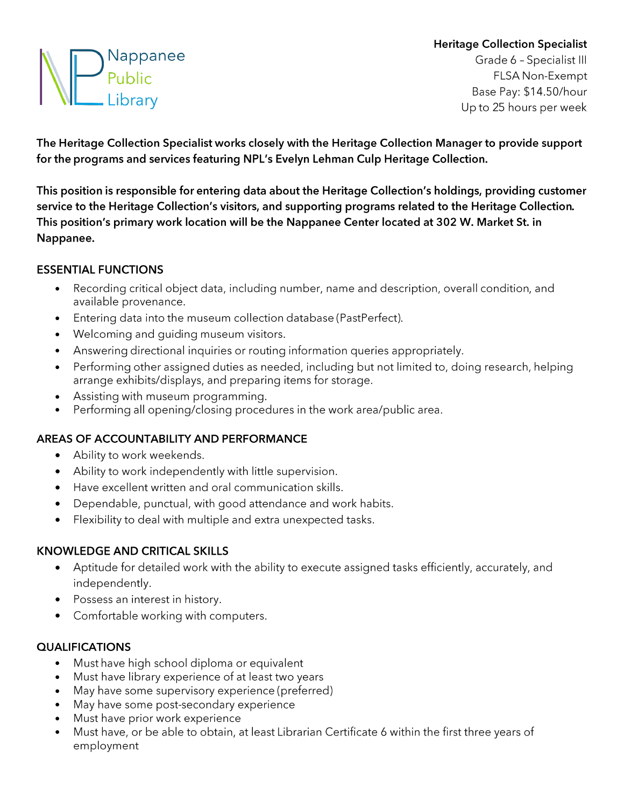# **e Nappanee Public Library**

# **Heritage Collection Specialist**

Grade 6 - Specialist III FLSA Non-Exempt Base Pay: \$14.50/hour Up to 25 hours per week

**The Heritage Collection Specialist works closely with the Heritage Collection Manager to provide support for the programs and services featuring NPL's Evelyn Lehman Culp Heritage Collection.** 

**This position is responsible for entering data about the Heritage Collection's holdings, providing customer service to the Heritage Collection's visitors, and supporting programs related to the Heritage Collection. This position's primary work location will be the Nappanee Center located at 302 W. Market St. in Nappanee.** 

#### **ESSENTIAL FUNCTIONS**

- Recording critical object data, including number, name and description, overall condition, and available provenance.
- Entering data into the museum collection database (PastPerfect).
- Welcoming and guiding museum visitors.
- Answering directional inquiries or routing information queries appropriately.
- Performing other assigned duties as needed, including but not limited to, doing research, helping arrange exhibits/displays, and preparing items for storage.
- Assisting with museum programming.
- Performing all opening/closing procedures in the work area/public area.

## **AREAS OF ACCOUNTABILITY AND PERFORMANCE**

- Ability to work weekends.
- Ability to work independently with little supervision.
- Have excellent written and oral communication skills.
- Dependable, punctual, with good attendance and work habits.
- Flexibility to deal with multiple and extra unexpected tasks.

## **KNOWLEDGE AND CRITICAL SKILLS**

- Aptitude for detailed work with the ability to execute assigned tasks efficiently, accurately, and independently.
- Possess an interest in history.
- Comfortable working with computers.

## **QUALIFICATIONS**

- Must have high school diploma or equivalent
- Must have library experience of at least two years
- May have some supervisory experience (preferred)
- May have some post-secondary experience
- Must have prior work experience
- Must have, or be able to obtain, at least Librarian Certificate 6 within the first three years of employment